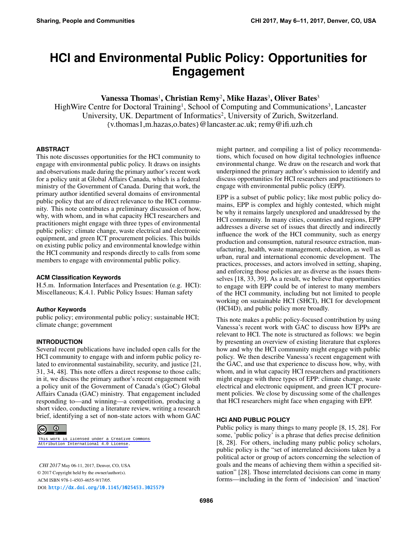# **HCI and Environmental Public Policy: Opportunities for Engagement**

# Vanessa Thomas<sup>1</sup>, Christian Remy<sup>2</sup>, Mike Hazas<sup>3</sup>, Oliver Bates<sup>3</sup>

HighWire Centre for Doctoral Training<sup>1</sup>, School of Computing and Communications<sup>3</sup>, Lancaster University, UK. Department of Informatics<sup>2</sup>, University of Zurich, Switzerland. {v.thomas1,m.hazas,o.bates}@lancaster.ac.uk; remy@ifi.uzh.ch

#### **ABSTRACT**

This note discusses opportunities for the HCI community to engage with environmental public policy. It draws on insights and observations made during the primary author's recent work for a policy unit at Global Affairs Canada, which is a federal ministry of the Government of Canada. During that work, the primary author identified several domains of environmental public policy that are of direct relevance to the HCI community. This note contributes a preliminary discussion of how, why, with whom, and in what capacity HCI researchers and practitioners might engage with three types of environmental public policy: climate change, waste electrical and electronic equipment, and green ICT procurement policies. This builds on existing public policy and environmental knowledge within the HCI community and responds directly to calls from some members to engage with environmental public policy.

#### **ACM Classification Keywords**

H.5.m. Information Interfaces and Presentation (e.g. HCI): Miscellaneous; K.4.1. Public Policy Issues: Human safety

#### **Author Keywords**

public policy; environmental public policy; sustainable HCI; climate change; government

#### **INTRODUCTION**

Several recent publications have included open calls for the HCI community to engage with and inform public policy related to environmental sustainability, security, and justice [\[21,](#page-4-0) [31,](#page-5-0) [34,](#page-5-1) [48\]](#page-6-0). This note offers a direct response to those calls; in it, we discuss the primary author's recent engagement with a policy unit of the Government of Canada's (GoC) Global Affairs Canada (GAC) ministry. That engagement included responding to—and winning—a competition, producing a short video, conducting a literature review, writing a research brief, identifying a set of non-state actors with whom GAC



[This work is licensed under a Creative Commons](https://creativecommons.org/licenses/by/4.0/)  [Attribution International 4.0 License](https://creativecommons.org/licenses/by/4.0/).

*CHI 2017* May 06-11, 2017, Denver, CO, USA © 2017 Copyright held by the owner/author(s). ACM ISBN 978-1-4503-4655-9/17/05. DOI: <http://dx.doi.org/10.1145/3025453.3025579>

might partner, and compiling a list of policy recommendations, which focused on how digital technologies influence environmental change. We draw on the research and work that underpinned the primary author's submission to identify and discuss opportunities for HCI researchers and practitioners to engage with environmental public policy (EPP).

EPP is a subset of public policy; like most public policy domains, EPP is complex and highly contested, which might be why it remains largely unexplored and unaddressed by the HCI community. In many cities, countries and regions, EPP addresses a diverse set of issues that directly and indirectly influence the work of the HCI community, such as energy production and consumption, natural resource extraction, manufacturing, health, waste management, education, as well as urban, rural and international economic development. The practices, processes, and actors involved in setting, shaping, and enforcing those policies are as diverse as the issues themselves [\[18,](#page-4-1) [33,](#page-5-2) [39\]](#page-5-3). As a result, we believe that opportunities to engage with EPP could be of interest to many members of the HCI community, including but not limited to people working on sustainable HCI (SHCI), HCI for development (HCI4D), and public policy more broadly.

This note makes a public policy-focused contribution by using Vanessa's recent work with GAC to discuss how EPPs are relevant to HCI. The note is structured as follows: we begin by presenting an overview of existing literature that explores how and why the HCI community might engage with public policy. We then describe Vanessa's recent engagement with the GAC, and use that experience to discuss how, why, with whom, and in what capacity HCI researchers and practitioners might engage with three types of EPP: climate change, waste electrical and electronic equipment, and green ICT procurement policies. We close by discussing some of the challenges that HCI researchers might face when engaging with EPP.

#### **HCI AND PUBLIC POLICY**

Public policy is many things to many people [\[8,](#page-4-2) [15,](#page-4-3) [28\]](#page-5-4). For some, 'public policy' is a phrase that defies precise definition [\[8,](#page-4-2) [28\]](#page-5-4). For others, including many public policy scholars, public policy is the "set of interrelated decisions taken by a political actor or group of actors concerning the selection of goals and the means of achieving them within a specified situation" [\[28\]](#page-5-4). Those interrelated decisions can come in many forms—including in the form of 'indecision' and 'inaction'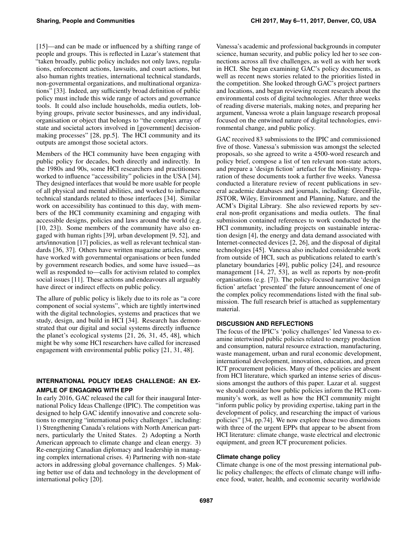[\[15\]](#page-4-3)—and can be made or influenced by a shifting range of people and groups. This is reflected in Lazar's statement that "taken broadly, public policy includes not only laws, regulations, enforcement actions, lawsuits, and court actions, but also human rights treaties, international technical standards, non-governmental organizations, and multinational organizations" [\[33\]](#page-5-2). Indeed, any sufficiently broad definition of public policy must include this wide range of actors and governance tools. It could also include households, media outlets, lobbying groups, private sector businesses, and any individual, organisation or object that belongs to "the complex array of state and societal actors involved in [government] decisionmaking processes" [\[28,](#page-5-4) pp.5]. The HCI community and its outputs are amongst those societal actors.

Members of the HCI community have been engaging with public policy for decades, both directly and indirectly. In the 1980s and 90s, some HCI researchers and practitioners worked to influence "accessibility" policies in the USA [\[34\]](#page-5-1). They designed interfaces that would be more usable for people of all physical and mental abilities, and worked to influence technical standards related to those interfaces [\[34\]](#page-5-1). Similar work on accessibility has continued to this day, with members of the HCI community examining and engaging with accessible designs, policies and laws around the world (e.g. [\[10,](#page-4-4) [23\]](#page-5-5)). Some members of the community have also engaged with human rights [\[39\]](#page-5-3), urban development [\[9,](#page-4-5) [52\]](#page-6-1), and arts/innovation [\[17\]](#page-4-6) policies, as well as relevant technical standards [\[36,](#page-5-6) [37\]](#page-5-7). Others have written magazine articles, some have worked with governmental organisations or been funded by government research bodies, and some have issued—as well as responded to—calls for activism related to complex social issues [\[11\]](#page-4-7). These actions and endeavours all arguably have direct or indirect effects on public policy.

The allure of public policy is likely due to its role as "a core component of social systems", which are tightly intertwined with the digital technologies, systems and practices that we study, design, and build in HCI [\[34\]](#page-5-1). Research has demonstrated that our digital and social systems directly influence the planet's ecological systems [\[21,](#page-4-0) [26,](#page-5-8) [31,](#page-5-0) [45,](#page-6-2) [48\]](#page-6-0), which might be why some HCI researchers have called for increased engagement with environmental public policy [\[21,](#page-4-0) [31,](#page-5-0) [48\]](#page-6-0).

# **INTERNATIONAL POLICY IDEAS CHALLENGE: AN EX-AMPLE OF ENGAGING WITH EPP**

In early 2016, GAC released the call for their inaugural International Policy Ideas Challenge (IPIC). The competition was designed to help GAC identify innovative and concrete solutions to emerging "international policy challenges", including: 1) Strengthening Canada's relations with North American partners, particularly the United States. 2) Adopting a North American approach to climate change and clean energy. 3) Re-energizing Canadian diplomacy and leadership in managing complex international crises. 4) Partnering with non-state actors in addressing global governance challenges. 5) Making better use of data and technology in the development of international policy [\[20\]](#page-4-8).

Vanessa's academic and professional backgrounds in computer science, human security, and public policy led her to see connections across all five challenges, as well as with her work in HCI. She began examining GAC's policy documents, as well as recent news stories related to the priorities listed in the competition. She looked through GAC's project partners and locations, and began reviewing recent research about the environmental costs of digital technologies. After three weeks of reading diverse materials, making notes, and preparing her argument, Vanessa wrote a plain language research proposal focused on the entwined nature of digital technologies, environmental change, and public policy.

GAC received 83 submissions to the IPIC and commissioned five of those. Vanessa's submission was amongst the selected proposals, so she agreed to write a 4500-word research and policy brief, compose a list of ten relevant non-state actors, and prepare a 'design fiction' artefact for the Ministry. Preparation of these documents took a further five weeks. Vanessa conducted a literature review of recent publications in several academic databases and journals, including: GreenFile, JSTOR, Wiley, Environment and Planning, Nature, and the ACM's Digital Library. She also reviewed reports by several non-profit organisations and media outlets. The final submission contained references to work conducted by the HCI community, including projects on sustainable interaction design [\[4\]](#page-4-9), the energy and data demand associated with Internet-connected devices [\[2,](#page-4-10) [26\]](#page-5-8), and the disposal of digital technologies [\[45\]](#page-6-2). Vanessa also included considerable work from outside of HCI, such as publications related to earth's planetary boundaries [\[49\]](#page-6-3), public policy [\[24\]](#page-5-9), and resource management [\[14,](#page-4-11) [27,](#page-5-10) [53\]](#page-6-4), as well as reports by non-profit organisations (e.g. [\[7\]](#page-4-12)). The policy-focused narrative 'design fiction' artefact 'presented' the future announcement of one of the complex policy recommendations listed with the final submission. The full research brief is attached as supplementary material.

# **DISCUSSION AND REFLECTIONS**

The focus of the IPIC's 'policy challenges' led Vanessa to examine intertwined public policies related to energy production and consumption, natural resource extraction, manufacturing, waste management, urban and rural economic development, international development, innovation, education, and green ICT procurement policies. Many of these policies are absent from HCI literature, which sparked an intense series of discussions amongst the authors of this paper. Lazar et al. suggest we should consider how public policies inform the HCI community's work, as well as how the HCI community might "inform public policy by providing expertise, taking part in the development of policy, and researching the impact of various policies" [\[34,](#page-5-1) pp.74]. We now explore those two dimensions with three of the urgent EPPs that appear to be absent from HCI literature: climate change, waste electrical and electronic equipment, and green ICT procurement policies.

## **Climate change policy**

Climate change is one of the most pressing international public policy challenges; the effects of climate change will influence food, water, health, and economic security worldwide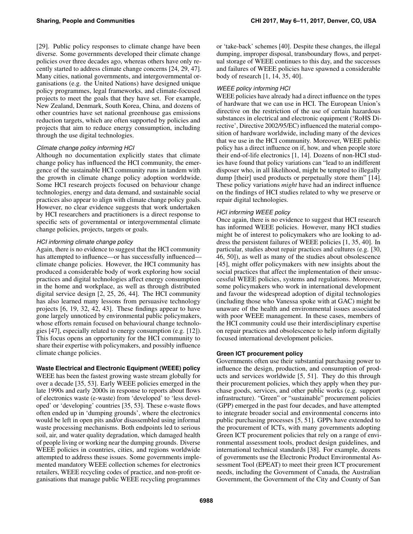[\[29\]](#page-5-11). Public policy responses to climate change have been diverse. Some governments developed their climate change policies over three decades ago, whereas others have only recently started to address climate change concerns [\[24,](#page-5-9) [29,](#page-5-11) [47\]](#page-6-5). Many cities, national governments, and intergovernmental organisations (e.g. the United Nations) have designed unique policy programmes, legal frameworks, and climate-focused projects to meet the goals that they have set. For example, New Zealand, Denmark, South Korea, China, and dozens of other countries have set national greenhouse gas emissions reduction targets, which are often supported by policies and projects that aim to reduce energy consumption, including through the use digital technologies.

#### *Climate change policy informing HCI*

Although no documentation explicitly states that climate change policy has influenced the HCI community, the emergence of the sustainable HCI community runs in tandem with the growth in climate change policy adoption worldwide. Some HCI research projects focused on behaviour change technologies, energy and data demand, and sustainable social practices also appear to align with climate change policy goals. However, no clear evidence suggests that work undertaken by HCI researchers and practitioners is a direct response to specific sets of governmental or intergovernmental climate change policies, projects, targets or goals.

#### *HCI informing climate change policy*

Again, there is no evidence to suggest that the HCI community has attempted to influence—or has successfully influenced climate change policies. However, the HCI community has produced a considerable body of work exploring how social practices and digital technologies affect energy consumption in the home and workplace, as well as through distributed digital service design [\[2,](#page-4-10) [25,](#page-5-12) [26,](#page-5-8) [44\]](#page-6-6). The HCI community has also learned many lessons from persuasive technology projects [\[6,](#page-4-13) [19,](#page-4-14) [32,](#page-5-13) [42,](#page-5-14) [43\]](#page-6-7). These findings appear to have gone largely unnoticed by environmental public policymakers, whose efforts remain focused on behavioural change technologies [\[47\]](#page-6-5), especially related to energy consumption (e.g. [\[12\]](#page-4-15)). This focus opens an opportunity for the HCI community to share their expertise with policymakers, and possibly influence climate change policies.

## **Waste Electrical and Electronic Equipment (WEEE) policy**

WEEE has been the fastest growing waste stream globally for over a decade [\[35,](#page-5-15) [53\]](#page-6-4). Early WEEE policies emerged in the late 1990s and early 2000s in response to reports about flows of electronics waste (e-waste) from 'developed' to 'less developed' or 'developing' countries [\[35,](#page-5-15) [53\]](#page-6-4). These e-waste flows often ended up in 'dumping grounds', where the electronics would be left in open pits and/or disassembled using informal waste processing mechanisms. Both endpoints led to serious soil, air, and water quality degradation, which damaged health of people living or working near the dumping grounds. Diverse WEEE policies in countries, cities, and regions worldwide attempted to address these issues. Some governments implemented mandatory WEEE collection schemes for electronics retailers, WEEE recycling codes of practice, and non-profit organisations that manage public WEEE recycling programmes

or 'take-back' schemes [\[40\]](#page-5-16). Despite these changes, the illegal dumping, improper disposal, transboundary flows, and perpetual storage of WEEE continues to this day, and the successes and failures of WEEE policies have spawned a considerable body of research [\[1,](#page-4-16) [14,](#page-4-11) [35,](#page-5-15) [40\]](#page-5-16).

### *WEEE policy informing HCI*

WEEE policies have already had a direct influence on the types of hardware that we can use in HCI. The European Union's directive on the restriction of the use of certain hazardous substances in electrical and electronic equipment ('RoHS Directive', Directive 2002/95/EC) influenced the material composition of hardware worldwide, including many of the devices that we use in the HCI community. Moreover, WEEE public policy has a direct influence on if, how, and when people store their end-of-life electronics [\[1,](#page-4-16) [14\]](#page-4-11). Dozens of non-HCI studies have found that policy variations can "lead to an indifferent disposer who, in all likelihood, might be tempted to illegally dump [their] used products or perpetually store them" [\[14\]](#page-4-11). These policy variations *might* have had an indirect influence on the findings of HCI studies related to why we preserve or repair digital technologies.

#### *HCI informing WEEE policy*

Once again, there is no evidence to suggest that HCI research has informed WEEE policies. However, many HCI studies might be of interest to policymakers who are looking to address the persistent failures of WEEE policies [\[1,](#page-4-16) [35,](#page-5-15) [40\]](#page-5-16). In particular, studies about repair practices and cultures (e.g. [\[30,](#page-5-17) [46,](#page-6-8) [50\]](#page-6-9)), as well as many of the studies about obsolescence [\[45\]](#page-6-2), might offer policymakers with new insights about the social practices that affect the implementation of their unsuccessful WEEE policies, systems and regulations. Moreover, some policymakers who work in international development and favour the widespread adoption of digital technologies (including those who Vanessa spoke with at GAC) might be unaware of the health and environmental issues associated with poor WEEE management. In these cases, members of the HCI community could use their interdisciplinary expertise on repair practices and obsolescence to help inform digitally focused international development policies.

## **Green ICT procurement policy**

Governments often use their substantial purchasing power to influence the design, production, and consumption of products and services worldwide [\[5,](#page-4-17) [51\]](#page-6-10). They do this through their procurement policies, which they apply when they purchase goods, services, and other public works (e.g. support infrastructure). "Green" or "sustainable" procurement policies (GPP) emerged in the past four decades, and have attempted to integrate broader social and environmental concerns into public purchasing processes [\[5,](#page-4-17) [51\]](#page-6-10). GPPs have extended to the procurement of ICTs, with many governments adopting Green ICT procurement policies that rely on a range of environmental assessment tools, product design guidelines, and international technical standards [\[38\]](#page-5-18). For example, dozens of governments use the Electronic Product Environmental Assessment Tool (EPEAT) to meet their green ICT procurement needs, including the Government of Canada, the Australian Government, the Government of the City and County of San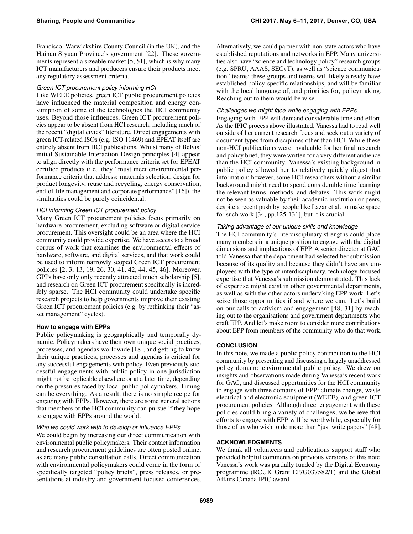Francisco, Warwickshire County Council (in the UK), and the Hainan Siyuan Province's government [\[22\]](#page-5-19). These governments represent a sizeable market [\[5,](#page-4-17) [51\]](#page-6-10), which is why many ICT manufacturers and producers ensure their products meet any regulatory assessment criteria.

# *Green ICT procurement policy informing HCI*

Like WEEE policies, green ICT public procurement policies have influenced the material composition and energy consumption of some of the technologies the HCI community uses. Beyond those influences, Green ICT procurement policies appear to be absent from HCI research, including much of the recent "digital civics" literature. Direct engagements with green ICT-related ISOs (e.g. ISO 11469) and EPEAT itself are entirely absent from HCI publications. Whilst many of Belvis' initial Sustainable Interaction Design principles [\[4\]](#page-4-9) appear to align directly with the performance criteria set for EPEAT certified products (i.e. they "must meet environmental performance criteria that address: materials selection, design for product longevity, reuse and recycling, energy conservation, end-of-life management and corporate performance" [\[16\]](#page-4-18)), the similarities could be purely coincidental.

# *HCI informing Green ICT procurement policy*

Many Green ICT procurement policies focus primarily on hardware procurement, excluding software or digital service procurement. This oversight could be an area where the HCI community could provide expertise. We have access to a broad corpus of work that examines the environmental effects of hardware, software, and digital services, and that work could be used to inform narrowly scoped Green ICT procurement policies [\[2,](#page-4-10) [3,](#page-4-19) [13,](#page-4-20) [19,](#page-4-14) [26,](#page-5-8) [30,](#page-5-17) [41,](#page-5-20) [42,](#page-5-14) [44,](#page-6-6) [45,](#page-6-2) [46\]](#page-6-8). Moreover, GPPs have only only recently attracted much scholarship [\[5\]](#page-4-17), and research on Green ICT procurement specifically is incredibly sparse. The HCI community could undertake specific research projects to help governments improve their existing Green ICT procurement policies (e.g. by rethinking their "asset management" cycles).

# **How to engage with EPPs**

Public policymaking is geographically and temporally dynamic. Policymakers have their own unique social practices, processes, and agendas worldwide [\[18\]](#page-4-1), and getting to know their unique practices, processes and agendas is critical for any successful engagements with policy. Even previously successful engagements with public policy in one jurisdiction might not be replicable elsewhere or at a later time, depending on the pressures faced by local public policymakers. Timing can be everything. As a result, there is no simple recipe for engaging with EPPs. However, there are some general actions that members of the HCI community can pursue if they hope to engage with EPPs around the world.

## *Who we could work with to develop or influence EPPs*

We could begin by increasing our direct communication with environmental public policymakers. Their contact information and research procurement guidelines are often posted online, as are many public consultation calls. Direct communication with environmental policymakers could come in the form of specifically targeted "policy briefs", press releases, or presentations at industry and government-focused conferences. Alternatively, we could partner with non-state actors who have established reputations and networks in EPP. Many universities also have "science and technology policy" research groups (e.g. SPRU, AAAS, SECyT), as well as "science communication" teams; these groups and teams will likely already have established policy-specific relationships, and will be familiar with the local language of, and priorities for, policymaking. Reaching out to them would be wise.

## *Challenges we might face while engaging with EPPs*

Engaging with EPP will demand considerable time and effort. As the IPIC process above illustrated, Vanessa had to read well outside of her current research focus and seek out a variety of document types from disciplines other than HCI. While these non-HCI publications were invaluable for her final research and policy brief, they were written for a very different audience than the HCI community. Vanessa's existing background in public policy allowed her to relatively quickly digest that information; however, some HCI researchers without a similar background might need to spend considerable time learning the relevant terms, methods, and debates. This work might not be seen as valuable by their academic institution or peers, despite a recent push by people like Lazar et al. to make space for such work [\[34,](#page-5-1) pp.125-131], but it is crucial.

# *Taking advantage of our unique skills and knowledge*

The HCI community's interdisciplinary strengths could place many members in a unique position to engage with the digital dimensions and implications of EPP. A senior director at GAC told Vanessa that the department had selected her submission because of its quality and because they didn't have any employees with the type of interdisciplinary, technology-focused expertise that Vanessa's submission demonstrated. This lack of expertise might exist in other governmental departments, as well as with the other actors undertaking EPP work. Let's seize those opportunities if and where we can. Let's build on our calls to activism and engagement [\[48,](#page-6-0) [31\]](#page-5-0) by reaching out to the organisations and government departments who craft EPP. And let's make room to consider more contributions about EPP from members of the community who do that work.

# **CONCLUSION**

In this note, we made a public policy contribution to the HCI community by presenting and discussing a largely unaddressed policy domain: environmental public policy. We drew on insights and observations made during Vanessa's recent work for GAC, and discussed opportunities for the HCI community to engage with three domains of EPP: climate change, waste electrical and electronic equipment (WEEE), and green ICT procurement policies. Although direct engagement with these policies could bring a variety of challenges, we believe that efforts to engage with EPP will be worthwhile, especially for those of us who wish to do more than "just write papers" [\[48\]](#page-6-0).

# **ACKNOWLEDGMENTS**

We thank all volunteers and publications support staff who provided helpful comments on previous versions of this note. Vanessa's work was partially funded by the Digital Economy programme (RCUK Grant EP/G037582/1) and the Global Affairs Canada IPIC award.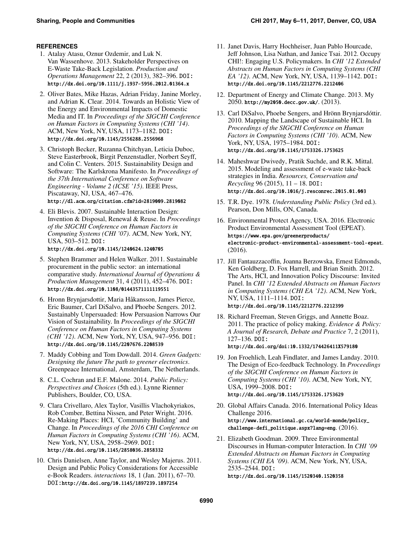# <span id="page-4-16"></span>**REFERENCES**

- 1. Atalay Atasu, Oznur Ozdemir, and Luk N. Van Wassenhove. 2013. Stakeholder Perspectives on E-Waste Take-Back Legislation. *Production and Operations Management* 22, 2 (2013), 382–396. DOI: <http://dx.doi.org/10.1111/j.1937-5956.2012.01364.x>
- <span id="page-4-10"></span>2. Oliver Bates, Mike Hazas, Adrian Friday, Janine Morley, and Adrian K. Clear. 2014. Towards an Holistic View of the Energy and Environmental Impacts of Domestic Media and IT. In *Proceedings of the SIGCHI Conference on Human Factors in Computing Systems (CHI '14)*. ACM, New York, NY, USA, 1173–1182. DOI: <http://dx.doi.org/10.1145/2556288.2556968>
- <span id="page-4-19"></span>3. Christoph Becker, Ruzanna Chitchyan, Leticia Duboc, Steve Easterbrook, Birgit Penzenstadler, Norbert Seyff, and Colin C. Venters. 2015. Sustainability Design and Software: The Karlskrona Manifesto. In *Proceedings of the 37th International Conference on Software Engineering - Volume 2 (ICSE '15)*. IEEE Press, Piscataway, NJ, USA, 467–476. <http://dl.acm.org/citation.cfm?id=2819009.2819082>
- <span id="page-4-9"></span>4. Eli Blevis. 2007. Sustainable Interaction Design: Invention & Disposal, Renewal & Reuse. In *Proceedings of the SIGCHI Conference on Human Factors in Computing Systems (CHI '07)*. ACM, New York, NY, USA, 503–512. DOI: <http://dx.doi.org/10.1145/1240624.1240705>
- <span id="page-4-17"></span>5. Stephen Brammer and Helen Walker. 2011. Sustainable procurement in the public sector: an international comparative study. *International Journal of Operations & Production Management* 31, 4 (2011), 452–476. DOI: <http://dx.doi.org/10.1108/01443571111119551>
- <span id="page-4-13"></span>6. Hronn Brynjarsdottir, Maria Håkansson, James Pierce, Eric Baumer, Carl DiSalvo, and Phoebe Sengers. 2012. Sustainably Unpersuaded: How Persuasion Narrows Our Vision of Sustainability. In *Proceedings of the SIGCHI Conference on Human Factors in Computing Systems (CHI '12)*. ACM, New York, NY, USA, 947–956. DOI: <http://dx.doi.org/10.1145/2207676.2208539>
- <span id="page-4-12"></span>7. Maddy Cobbing and Tom Dowdall. 2014. *Green Gadgets: Designing the future The path to greener electronics*. Greenpeace International, Amsterdam, The Netherlands.
- <span id="page-4-2"></span>8. C.L. Cochran and E.F. Malone. 2014. *Public Policy: Perspectives and Choices* (5th ed.). Lynne Rienner Publishers, Boulder, CO, USA.
- <span id="page-4-5"></span>9. Clara Crivellaro, Alex Taylor, Vasillis Vlachokyriakos, Rob Comber, Bettina Nissen, and Peter Wright. 2016. Re-Making Places: HCI, 'Community Building' and Change. In *Proceedings of the 2016 CHI Conference on Human Factors in Computing Systems (CHI '16)*. ACM, New York, NY, USA, 2958–2969. DOI: <http://dx.doi.org/10.1145/2858036.2858332>
- <span id="page-4-4"></span>10. Chris Danielsen, Anne Taylor, and Wesley Majerus. 2011. Design and Public Policy Considerations for Accessible e-Book Readers. *interactions* 18, 1 (Jan. 2011), 67–70. DOI:<http://dx.doi.org/10.1145/1897239.1897254>
- <span id="page-4-7"></span>11. Janet Davis, Harry Hochheiser, Juan Pablo Hourcade, Jeff Johnson, Lisa Nathan, and Janice Tsai. 2012. Occupy CHI!: Engaging U.S. Policymakers. In *CHI '12 Extended Abstracts on Human Factors in Computing Systems (CHI EA '12)*. ACM, New York, NY, USA, 1139–1142. DOI: <http://dx.doi.org/10.1145/2212776.2212406>
- <span id="page-4-15"></span>12. Department of Energy and Climate Change. 2013. My 2050. <http://my2050.decc.gov.uk/>. (2013).
- <span id="page-4-20"></span>13. Carl DiSalvo, Phoebe Sengers, and Hrönn Brynjarsdóttir. 2010. Mapping the Landscape of Sustainable HCI. In *Proceedings of the SIGCHI Conference on Human Factors in Computing Systems (CHI '10)*. ACM, New York, NY, USA, 1975–1984. DOI: <http://dx.doi.org/10.1145/1753326.1753625>
- <span id="page-4-11"></span>14. Maheshwar Dwivedy, Pratik Suchde, and R.K. Mittal. 2015. Modeling and assessment of e-waste take-back strategies in India. *Resources, Conservation and Recycling* 96 (2015), 11 – 18. DOI: <http://dx.doi.org/10.1016/j.resconrec.2015.01.003>
- <span id="page-4-3"></span>15. T.R. Dye. 1978. *Understanding Public Policy* (3rd ed.). Pearson, Don Mills, ON, Canada.
- <span id="page-4-18"></span>16. Environmental Protect Agency, USA. 2016. Electronic Product Environmental Assessment Tool (EPEAT). [https://www.epa.gov/greenerproducts/](https://www.epa.gov/greenerproducts/electronic-product-environmental-assessment-tool-epeat) [electronic-product-environmental-assessment-tool-epeat](https://www.epa.gov/greenerproducts/electronic-product-environmental-assessment-tool-epeat). (2016).
- <span id="page-4-6"></span>17. Jill Fantauzzacoffin, Joanna Berzowska, Ernest Edmonds, Ken Goldberg, D. Fox Harrell, and Brian Smith. 2012. The Arts, HCI, and Innovation Policy Discourse: Invited Panel. In *CHI '12 Extended Abstracts on Human Factors in Computing Systems (CHI EA '12)*. ACM, New York, NY, USA, 1111–1114. DOI: <http://dx.doi.org/10.1145/2212776.2212399>
- <span id="page-4-1"></span>18. Richard Freeman, Steven Griggs, and Annette Boaz. 2011. The practice of policy making. *Evidence & Policy: A Journal of Research, Debate and Practice* 7, 2 (2011), 127–136. DOI: <http://dx.doi.org/doi:10.1332/174426411X579180>
- <span id="page-4-14"></span>19. Jon Froehlich, Leah Findlater, and James Landay. 2010. The Design of Eco-feedback Technology. In *Proceedings of the SIGCHI Conference on Human Factors in Computing Systems (CHI '10)*. ACM, New York, NY, USA, 1999–2008. DOI: <http://dx.doi.org/10.1145/1753326.1753629>
- <span id="page-4-8"></span>20. Global Affairs Canada. 2016. International Policy Ideas Challenge 2016. [http://www.international.gc.ca/world-monde/policy\\_](http://www.international.gc.ca/world-monde/policy_challenge-defi_politique.aspx?lang=eng) [challenge-defi\\_politique.aspx?lang=eng](http://www.international.gc.ca/world-monde/policy_challenge-defi_politique.aspx?lang=eng). (2016).
- <span id="page-4-0"></span>21. Elizabeth Goodman. 2009. Three Environmental Discourses in Human-computer Interaction. In *CHI '09 Extended Abstracts on Human Factors in Computing Systems (CHI EA '09)*. ACM, New York, NY, USA, 2535–2544. DOI: <http://dx.doi.org/10.1145/1520340.1520358>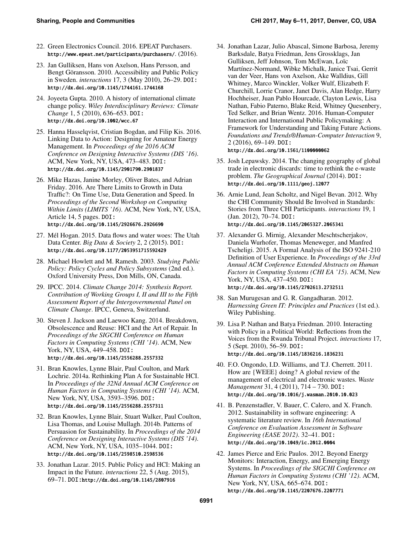- <span id="page-5-19"></span>22. Green Electronics Council. 2016. EPEAT Purchasers. <http://www.epeat.net/participants/purchasers/>. (2016).
- <span id="page-5-5"></span>23. Jan Gulliksen, Hans von Axelson, Hans Persson, and Bengt Göransson. 2010. Accessibility and Public Policy in Sweden. *interactions* 17, 3 (May 2010), 26–29. DOI: <http://dx.doi.org/10.1145/1744161.1744168>
- <span id="page-5-9"></span>24. Joyeeta Gupta. 2010. A history of international climate change policy. *Wiley Interdisciplinary Reviews: Climate Change* 1, 5 (2010), 636–653. DOI: <http://dx.doi.org/10.1002/wcc.67>
- <span id="page-5-12"></span>25. Hanna Hasselqvist, Cristian Bogdan, and Filip Kis. 2016. Linking Data to Action: Designing for Amateur Energy Management. In *Proceedings of the 2016 ACM Conference on Designing Interactive Systems (DIS '16)*. ACM, New York, NY, USA, 473–483. DOI: <http://dx.doi.org/10.1145/2901790.2901837>
- <span id="page-5-8"></span>26. Mike Hazas, Janine Morley, Oliver Bates, and Adrian Friday. 2016. Are There Limits to Growth in Data Traffic?: On Time Use, Data Generation and Speed. In *Proceedings of the Second Workshop on Computing Within Limits (LIMITS '16)*. ACM, New York, NY, USA, Article 14, 5 pages. DOI: <http://dx.doi.org/10.1145/2926676.2926690>
- <span id="page-5-10"></span>27. Mél Hogan. 2015. Data flows and water woes: The Utah Data Center. *Big Data & Society* 2, 2 (2015). DOI: <http://dx.doi.org/10.1177/2053951715592429>
- <span id="page-5-4"></span>28. Michael Howlett and M. Ramesh. 2003. *Studying Public Policy: Policy Cycles and Policy Subsystems* (2nd ed.). Oxford University Press, Don Mills, ON, Canada.
- <span id="page-5-11"></span>29. IPCC. 2014. *Climate Change 2014: Synthesis Report. Contribution of Working Groups I, II and III to the Fifth Assessment Report of the Intergovernmental Panel on Climate Change*. IPCC, Geneva, Switzerland.
- <span id="page-5-17"></span>30. Steven J. Jackson and Laewoo Kang. 2014. Breakdown, Obsolescence and Reuse: HCI and the Art of Repair. In *Proceedings of the SIGCHI Conference on Human Factors in Computing Systems (CHI '14)*. ACM, New York, NY, USA, 449–458. DOI: <http://dx.doi.org/10.1145/2556288.2557332>
- <span id="page-5-0"></span>31. Bran Knowles, Lynne Blair, Paul Coulton, and Mark Lochrie. 2014a. Rethinking Plan A for Sustainable HCI. In *Proceedings of the 32Nd Annual ACM Conference on Human Factors in Computing Systems (CHI '14)*. ACM, New York, NY, USA, 3593–3596. DOI: <http://dx.doi.org/10.1145/2556288.2557311>
- <span id="page-5-13"></span>32. Bran Knowles, Lynne Blair, Stuart Walker, Paul Coulton, Lisa Thomas, and Louise Mullagh. 2014b. Patterns of Persuasion for Sustainability. In *Proceedings of the 2014 Conference on Designing Interactive Systems (DIS '14)*. ACM, New York, NY, USA, 1035–1044. DOI: <http://dx.doi.org/10.1145/2598510.2598536>
- <span id="page-5-2"></span>33. Jonathan Lazar. 2015. Public Policy and HCI: Making an Impact in the Future. *interactions* 22, 5 (Aug. 2015), 69–71. DOI:<http://dx.doi.org/10.1145/2807916>
- <span id="page-5-1"></span>34. Jonathan Lazar, Julio Abascal, Simone Barbosa, Jeremy Barksdale, Batya Friedman, Jens Grossklags, Jan Gulliksen, Jeff Johnson, Tom McEwan, Loïc Martínez-Normand, Wibke Michalk, Janice Tsai, Gerrit van der Veer, Hans von Axelson, Ake Walldius, Gill Whitney, Marco Winckler, Volker Wulf, Elizabeth F. Churchill, Lorrie Cranor, Janet Davis, Alan Hedge, Harry Hochheiser, Juan Pablo Hourcade, Clayton Lewis, Lisa Nathan, Fabio Paterno, Blake Reid, Whitney Quesenbery, Ted Selker, and Brian Wentz. 2016. Human-Computer Interaction and International Public Policymaking: A Framework for Understanding and Taking Future Actions. *Foundations and Trends®Human-Computer Interaction* 9, 2 (2016), 69–149. DOI: <http://dx.doi.org/10.1561/1100000062>
- <span id="page-5-15"></span>35. Josh Lepawsky. 2014. The changing geography of global trade in electronic discards: time to rethink the e-waste problem. *The Geographical Journal* (2014). DOI: <http://dx.doi.org/10.1111/geoj.12077>
- <span id="page-5-6"></span>36. Arnie Lund, Jean Scholtz, and Nigel Bevan. 2012. Why the CHI Community Should Be Involved in Standards: Stories from Three CHI Participants. *interactions* 19, 1 (Jan. 2012), 70–74. DOI: <http://dx.doi.org/10.1145/2065327.2065341>
- <span id="page-5-7"></span>37. Alexander G. Mirnig, Alexander Meschtscherjakov, Daniela Wurhofer, Thomas Meneweger, and Manfred Tscheligi. 2015. A Formal Analysis of the ISO 9241-210 Definition of User Experience. In *Proceedings of the 33rd Annual ACM Conference Extended Abstracts on Human Factors in Computing Systems (CHI EA '15)*. ACM, New York, NY, USA, 437–450. DOI: <http://dx.doi.org/10.1145/2702613.2732511>
- <span id="page-5-18"></span>38. San Murugesan and G. R. Gangadharan. 2012. *Harnessing Green IT: Principles and Practices* (1st ed.). Wiley Publishing.
- <span id="page-5-3"></span>39. Lisa P. Nathan and Batya Friedman. 2010. Interacting with Policy in a Political World: Reflections from the Voices from the Rwanda Tribunal Project. *interactions* 17, 5 (Sept. 2010), 56–59. DOI: <http://dx.doi.org/10.1145/1836216.1836231>
- <span id="page-5-16"></span>40. F.O. Ongondo, I.D. Williams, and T.J. Cherrett. 2011. How are {WEEE} doing? A global review of the management of electrical and electronic wastes. *Waste Management* 31, 4 (2011), 714 – 730. DOI: <http://dx.doi.org/10.1016/j.wasman.2010.10.023>
- <span id="page-5-20"></span>41. B. Penzenstadler, V. Bauer, C. Calero, and X. Franch. 2012. Sustainability in software engineering: A systematic literature review. In *16th International Conference on Evaluation Assessment in Software Engineering (EASE 2012)*. 32–41. DOI: <http://dx.doi.org/10.1049/ic.2012.0004>
- <span id="page-5-14"></span>42. James Pierce and Eric Paulos. 2012. Beyond Energy Monitors: Interaction, Energy, and Emerging Energy Systems. In *Proceedings of the SIGCHI Conference on Human Factors in Computing Systems (CHI '12)*. ACM, New York, NY, USA, 665–674. DOI: <http://dx.doi.org/10.1145/2207676.2207771>